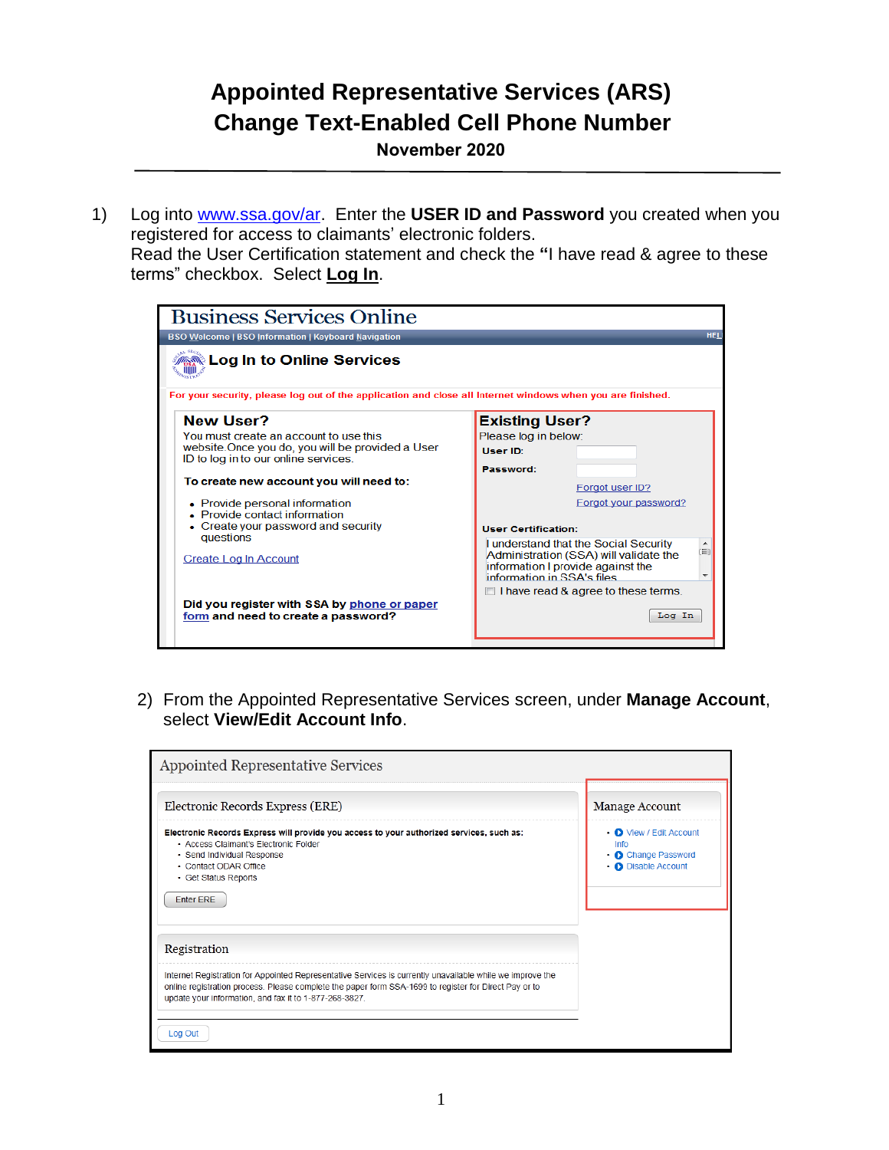## **Appointed Representative Services (ARS) Change Text-Enabled Cell Phone Number**

**November 2020**

1) Log into [www.ssa.gov/ar.](../../../165582.BA/AppData/Local/Microsoft/Windows/Temporary%20Internet%20Files/Content.Outlook/CMKDTY0I/www.ssa.gov/ar) Enter the **USER ID and Password** you created when you registered for access to claimants' electronic folders.

Read the User Certification statement and check the **"**I have read & agree to these terms" checkbox. Select **Log In**.

| <b>Business Services Online</b>                                                                            |                                                                                                                                                           |  |  |
|------------------------------------------------------------------------------------------------------------|-----------------------------------------------------------------------------------------------------------------------------------------------------------|--|--|
| <b>BSO Welcome   BSO Information   Keyboard Navigation</b>                                                 | <b>HEL</b>                                                                                                                                                |  |  |
| Log In to Online Services »                                                                                |                                                                                                                                                           |  |  |
| For your security, please log out of the application and close all Internet windows when you are finished. |                                                                                                                                                           |  |  |
| <b>New User?</b>                                                                                           | <b>Existing User?</b>                                                                                                                                     |  |  |
| You must create an account to use this                                                                     | Please log in below:                                                                                                                                      |  |  |
| website. Once you do, you will be provided a User                                                          | User ID:                                                                                                                                                  |  |  |
| ID to log in to our online services.                                                                       | Password:                                                                                                                                                 |  |  |
| To create new account you will need to:                                                                    | Forgot user ID?                                                                                                                                           |  |  |
| • Provide personal information                                                                             | Forgot your password?                                                                                                                                     |  |  |
| • Provide contact information                                                                              |                                                                                                                                                           |  |  |
| • Create your password and security<br>questions                                                           | <b>User Certification:</b>                                                                                                                                |  |  |
| Create Log In Account                                                                                      | I understand that the Social Security<br>(E)<br>Administration (SSA) will validate the<br>information I provide against the<br>information in SSA's files |  |  |
|                                                                                                            | $\Box$ I have read & agree to these terms.                                                                                                                |  |  |
| Did you register with SSA by phone or paper                                                                |                                                                                                                                                           |  |  |
| form and need to create a password?                                                                        | Log In                                                                                                                                                    |  |  |

2) From the Appointed Representative Services screen, under **Manage Account**, select **View/Edit Account Info**.

| Electronic Records Express (ERE)                                                                                                                                                                                                                                             | Manage Account                                                                              |
|------------------------------------------------------------------------------------------------------------------------------------------------------------------------------------------------------------------------------------------------------------------------------|---------------------------------------------------------------------------------------------|
| Electronic Records Express will provide you access to your authorized services, such as:<br>• Access Claimant's Electronic Folder<br>• Send Individual Response<br>• Contact ODAR Office<br>• Get Status Reports<br>Enter ERE                                                | • O View / Edit Account<br>Info<br>• <b>O</b> Change Password<br>• <b>O</b> Disable Account |
| Registration                                                                                                                                                                                                                                                                 |                                                                                             |
| Internet Registration for Appointed Representative Services is currently unavailable while we improve the<br>online registration process. Please complete the paper form SSA-1699 to register for Direct Pay or to<br>update your information, and fax it to 1-877-268-3827. |                                                                                             |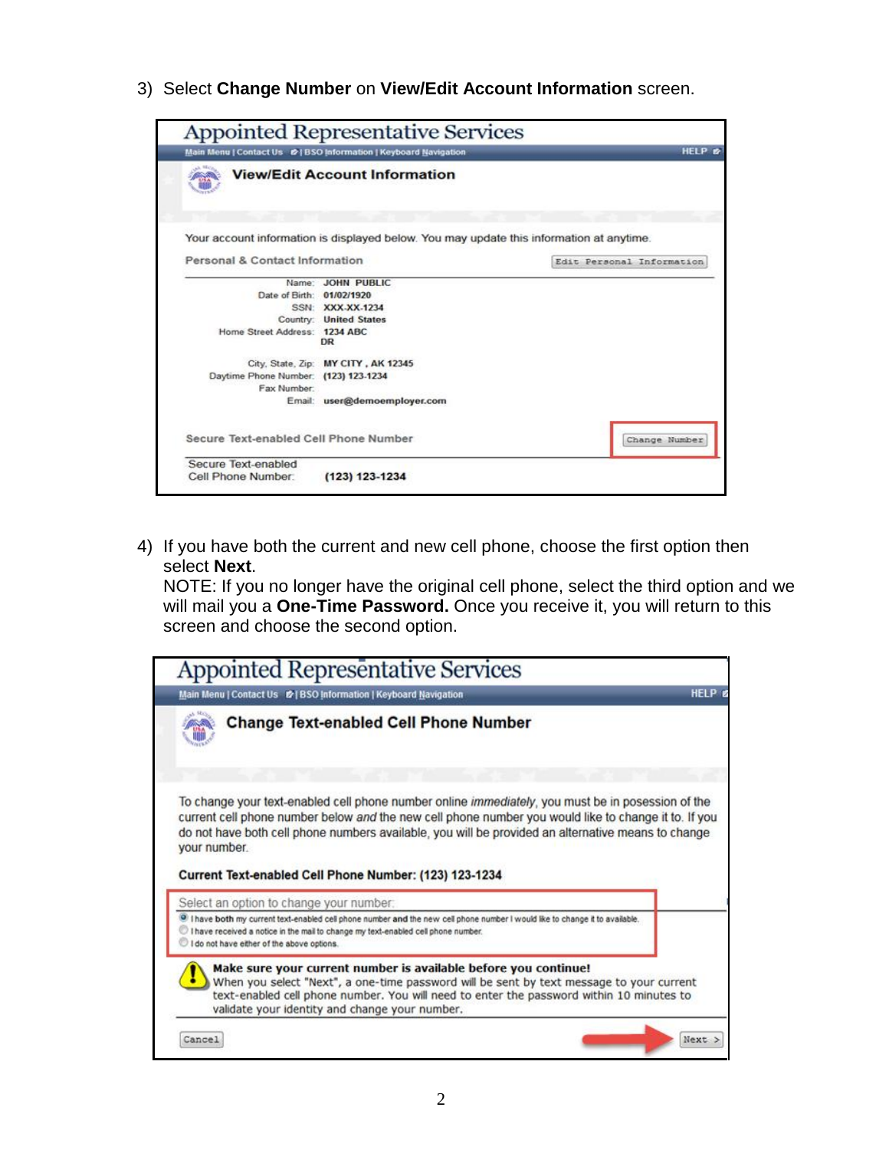3) Select **Change Number** on **View/Edit Account Information** screen.

|                                                     | Main Menu   Contact Us &   BSO Information   Keyboard Navigation                         |                           | <b>HELP &amp;</b> |
|-----------------------------------------------------|------------------------------------------------------------------------------------------|---------------------------|-------------------|
|                                                     | <b>View/Edit Account Information</b>                                                     |                           |                   |
|                                                     |                                                                                          |                           |                   |
|                                                     | Your account information is displayed below. You may update this information at anytime. |                           |                   |
| Personal & Contact Information                      |                                                                                          | Edit Personal Information |                   |
| Name:                                               | <b>JOHN PUBLIC</b>                                                                       |                           |                   |
| Date of Birth: 01/02/1920                           |                                                                                          |                           |                   |
|                                                     | SSN: XXX-XX-1234                                                                         |                           |                   |
|                                                     | Country: United States                                                                   |                           |                   |
| Home Street Address: 1234 ABC                       |                                                                                          |                           |                   |
|                                                     | DR                                                                                       |                           |                   |
|                                                     | City, State, Zip: MY CITY, AK 12345                                                      |                           |                   |
| Daytime Phone Number: (123) 123-1234<br>Fax Number: |                                                                                          |                           |                   |
| Email:                                              | user@demoemployer.com                                                                    |                           |                   |
| Secure Text-enabled Cell Phone Number               |                                                                                          |                           | Change Number     |
|                                                     |                                                                                          |                           |                   |

4) If you have both the current and new cell phone, choose the first option then select **Next**.

NOTE: If you no longer have the original cell phone, select the third option and we will mail you a **One-Time Password.** Once you receive it, you will return to this screen and choose the second option.

| <b>Appointed Representative Services</b><br>Main Menu   Contact Us &   BSO Information   Keyboard Navigation                                                                                                                                                                                              | <b>HELP B</b> |
|-----------------------------------------------------------------------------------------------------------------------------------------------------------------------------------------------------------------------------------------------------------------------------------------------------------|---------------|
| <b>Change Text-enabled Cell Phone Number</b>                                                                                                                                                                                                                                                              |               |
|                                                                                                                                                                                                                                                                                                           |               |
| To change your text-enabled cell phone number online <i>immediately</i> , you must be in posession of the<br>current cell phone number below and the new cell phone number you would like to change it to. If you                                                                                         |               |
| do not have both cell phone numbers available, you will be provided an alternative means to change<br>your number.<br>Current Text-enabled Cell Phone Number: (123) 123-1234                                                                                                                              |               |
| Select an option to change your number:                                                                                                                                                                                                                                                                   |               |
| I have both my current text-enabled cell phone number and the new cell phone number I would like to change it to available.<br>I have received a notice in the mail to change my text-enabled cell phone number.<br>I do not have either of the above options.                                            |               |
| Make sure your current number is available before you continue!<br>When you select "Next", a one-time password will be sent by text message to your current<br>text-enabled cell phone number. You will need to enter the password within 10 minutes to<br>validate your identity and change your number. |               |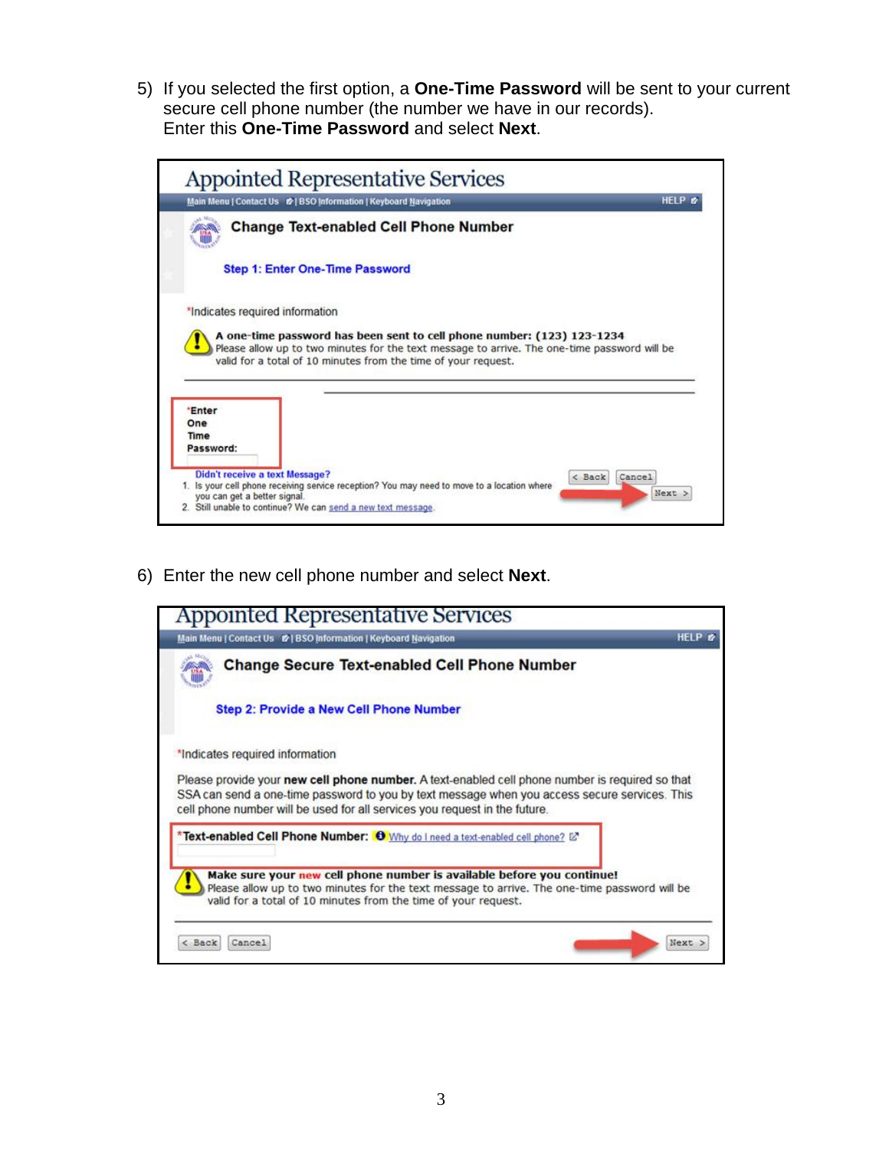5) If you selected the first option, a **One-Time Password** will be sent to your current secure cell phone number (the number we have in our records). Enter this **One-Time Password** and select **Next**.



6) Enter the new cell phone number and select **Next**.

| Appointed Representative Services                                                                                                                                                                                                                                              |               |  |  |
|--------------------------------------------------------------------------------------------------------------------------------------------------------------------------------------------------------------------------------------------------------------------------------|---------------|--|--|
| Main Menu   Contact Us &   BSO Information   Keyboard Navigation                                                                                                                                                                                                               | HELP <b>B</b> |  |  |
| <b>Change Secure Text-enabled Cell Phone Number</b>                                                                                                                                                                                                                            |               |  |  |
| <b>Step 2: Provide a New Cell Phone Number</b>                                                                                                                                                                                                                                 |               |  |  |
| *Indicates required information                                                                                                                                                                                                                                                |               |  |  |
| Please provide your new cell phone number. A text-enabled cell phone number is required so that<br>SSA can send a one-time password to you by text message when you access secure services. This<br>cell phone number will be used for all services you request in the future. |               |  |  |
| *Text-enabled Cell Phone Number: 0 Why do I need a text-enabled cell phone? [2]                                                                                                                                                                                                |               |  |  |
| Make sure your new cell phone number is available before you continue!<br>Please allow up to two minutes for the text message to arrive. The one-time password will be<br>valid for a total of 10 minutes from the time of your request.                                       |               |  |  |
| Back<br>Cancel                                                                                                                                                                                                                                                                 | Next          |  |  |